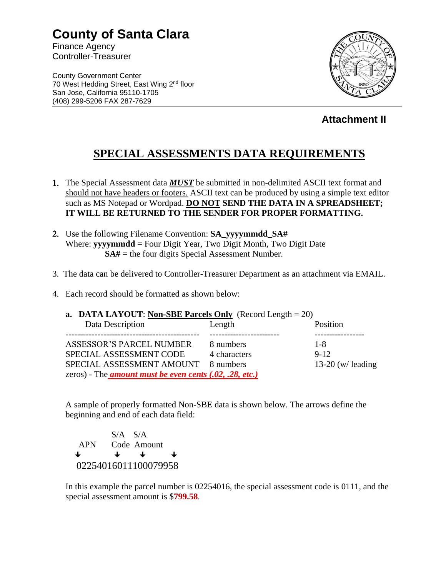**County of Santa Clara** Finance Agency Controller-Treasurer

County Government Center 70 West Hedding Street, East Wing 2<sup>nd</sup> floor San Jose, California 95110-1705 (408) 299-5206 FAX 287-7629



## **Attachment II**

# **SPECIAL ASSESSMENTS DATA REQUIREMENTS**

- 1. The Special Assessment data *MUST* be submitted in non-delimited ASCII text format and should not have headers or footers. ASCII text can be produced by using a simple text editor such as MS Notepad or Wordpad. **DO NOT SEND THE DATA IN A SPREADSHEET; IT WILL BE RETURNED TO THE SENDER FOR PROPER FORMATTING.**
- 2. Use the following Filename Convention: **SA\_yyymmdd\_SA#** Where: **yyyymmdd** = Four Digit Year, Two Digit Month, Two Digit Date **SA#** = the four digits Special Assessment Number.
- 3. The data can be delivered to Controller-Treasurer Department as an attachment via EMAIL.
- 4. Each record should be formatted as shown below:

| a. DATA LAYOUT: Non-SBE Parcels Only (Record Length = 20)        |              |                   |  |
|------------------------------------------------------------------|--------------|-------------------|--|
| Data Description                                                 | Length       | Position          |  |
| <b>ASSESSOR'S PARCEL NUMBER</b>                                  | 8 numbers    | 1-8               |  |
| SPECIAL ASSESSMENT CODE                                          | 4 characters | $9 - 12$          |  |
| SPECIAL ASSESSMENT AMOUNT                                        | 8 numbers    | 13-20 (w/ leading |  |
| zeros) - The <b>amount must be even cents</b> $(.02, .28, etc.)$ |              |                   |  |

A sample of properly formatted Non-SBE data is shown below. The arrows define the beginning and end of each data field:

 S/A S/A APN Code Amount  $+$   $+$   $+$   $+$ 02254016011100079958

In this example the parcel number is 02254016, the special assessment code is 0111, and the special assessment amount is \$**799.58**.